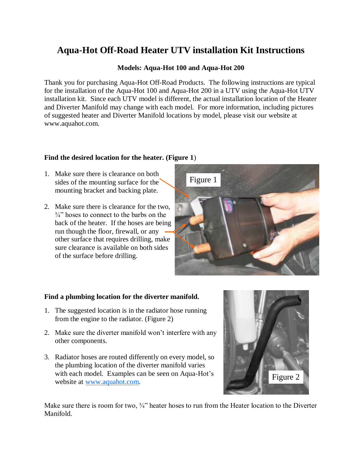# **Aqua-Hot Off-Road Heater UTV installation Kit Instructions**

#### **Models: Aqua-Hot 100 and Aqua-Hot 200**

Thank you for purchasing Aqua-Hot Off-Road Products. The following instructions are typical for the installation of the Aqua-Hot 100 and Aqua-Hot 200 in a UTV using the Aqua-Hot UTV installation kit. Since each UTV model is different, the actual installation location of the Heater and Diverter Manifold may change with each model. For more information, including pictures of suggested heater and Diverter Manifold locations by model, please visit our website at www.aquahot.com.

#### **Find the desired location for the heater. (Figure 1**)

- 1. Make sure there is clearance on both sides of the mounting surface for the mounting bracket and backing plate.
- 2. Make sure there is clearance for the two,  $\frac{3}{4}$  hoses to connect to the barbs on the back of the heater. If the hoses are being run though the floor, firewall, or any other surface that requires drilling, make sure clearance is available on both sides of the surface before drilling.



### **Find a plumbing location for the diverter manifold.**

- 1. The suggested location is in the radiator hose running from the engine to the radiator. (Figure 2)
- 2. Make sure the diverter manifold won't interfere with any other components.
- 3. Radiator hoses are routed differently on every model, so the plumbing location of the diverter manifold varies with each model. Examples can be seen on Aqua-Hot's website at [www.aquahot.com.](http://www.aquahot.com)



Make sure there is room for two,  $\frac{3}{4}$ " heater hoses to run from the Heater location to the Diverter Manifold.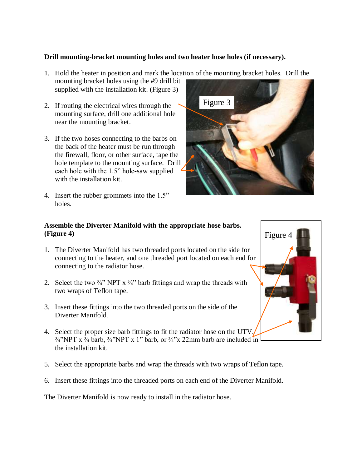## **Drill mounting-bracket mounting holes and two heater hose holes (if necessary).**

- 1. Hold the heater in position and mark the location of the mounting bracket holes. Drill the mounting bracket holes using the #9 drill bit supplied with the installation kit. (Figure 3)
- 2. If routing the electrical wires through the mounting surface, drill one additional hole near the mounting bracket.
- 3. If the two hoses connecting to the barbs on the back of the heater must be run through the firewall, floor, or other surface, tape the hole template to the mounting surface. Drill each hole with the 1.5" hole-saw supplied with the installation kit.
- 4. Insert the rubber grommets into the 1.5" holes.



# **Assemble the Diverter Manifold with the appropriate hose barbs. (Figure 4)**

- 1. The Diverter Manifold has two threaded ports located on the side for connecting to the heater, and one threaded port located on each end for connecting to the radiator hose.
- 2. Select the two  $\frac{3}{4}$ " NPT x  $\frac{3}{4}$ " barb fittings and wrap the threads with two wraps of Teflon tape.
- 3. Insert these fittings into the two threaded ports on the side of the Diverter Manifold.
- 4. Select the proper size barb fittings to fit the radiator hose on the UTV.  $\frac{3}{4}$ "NPT x  $\frac{3}{4}$  barb,  $\frac{3}{4}$ "NPT x 1" barb, or  $\frac{3}{4}$ "x 22mm barb are included in the installation kit.
- 5. Select the appropriate barbs and wrap the threads with two wraps of Teflon tape.
- 6. Insert these fittings into the threaded ports on each end of the Diverter Manifold.

The Diverter Manifold is now ready to install in the radiator hose.

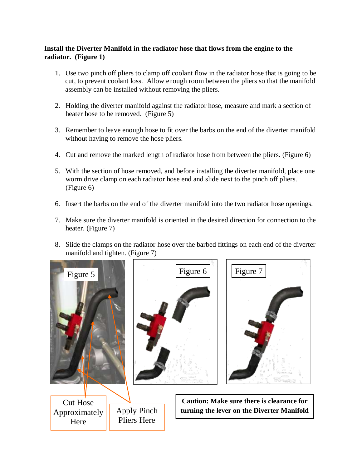## **Install the Diverter Manifold in the radiator hose that flows from the engine to the radiator. (Figure 1)**

- 1. Use two pinch off pliers to clamp off coolant flow in the radiator hose that is going to be cut, to prevent coolant loss. Allow enough room between the pliers so that the manifold assembly can be installed without removing the pliers.
- 2. Holding the diverter manifold against the radiator hose, measure and mark a section of heater hose to be removed. (Figure 5)
- 3. Remember to leave enough hose to fit over the barbs on the end of the diverter manifold without having to remove the hose pliers.
- 4. Cut and remove the marked length of radiator hose from between the pliers. (Figure 6)
- 5. With the section of hose removed, and before installing the diverter manifold, place one worm drive clamp on each radiator hose end and slide next to the pinch off pliers. (Figure 6)
- 6. Insert the barbs on the end of the diverter manifold into the two radiator hose openings.
- 7. Make sure the diverter manifold is oriented in the desired direction for connection to the heater. (Figure 7)
- 8. Slide the clamps on the radiator hose over the barbed fittings on each end of the diverter manifold and tighten. (Figure 7)

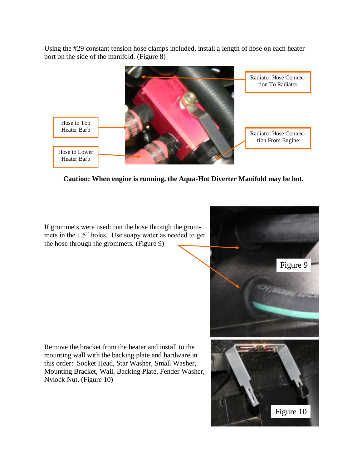Using the #29 constant tension hose clamps included, install a length of hose on each heater port on the side of the manifold. (Figure 8)



**Caution: When engine is running, the Aqua-Hot Diverter Manifold may be hot.** 

If grommets were used: run the hose through the grommets in the 1.5" holes. Use soapy water as needed to get the hose through the grommets. (Figure 9)



Remove the bracket from the heater and install to the mounting wall with the backing plate and hardware in this order: Socket Head, Star Washer, Small Washer, Mounting Bracket, Wall, Backing Plate, Fender Washer, Nylock Nut. (Figure 10)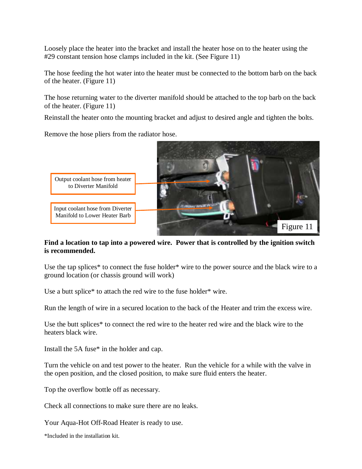Loosely place the heater into the bracket and install the heater hose on to the heater using the #29 constant tension hose clamps included in the kit. (See Figure 11)

The hose feeding the hot water into the heater must be connected to the bottom barb on the back of the heater. (Figure 11)

The hose returning water to the diverter manifold should be attached to the top barb on the back of the heater. (Figure 11)

Reinstall the heater onto the mounting bracket and adjust to desired angle and tighten the bolts.

Remove the hose pliers from the radiator hose.



#### **Find a location to tap into a powered wire. Power that is controlled by the ignition switch is recommended.**

Use the tap splices\* to connect the fuse holder\* wire to the power source and the black wire to a ground location (or chassis ground will work)

Use a butt splice\* to attach the red wire to the fuse holder\* wire.

Run the length of wire in a secured location to the back of the Heater and trim the excess wire.

Use the butt splices\* to connect the red wire to the heater red wire and the black wire to the heaters black wire.

Install the 5A fuse\* in the holder and cap.

Turn the vehicle on and test power to the heater. Run the vehicle for a while with the valve in the open position, and the closed position, to make sure fluid enters the heater.

Top the overflow bottle off as necessary.

Check all connections to make sure there are no leaks.

Your Aqua-Hot Off-Road Heater is ready to use.

\*Included in the installation kit.